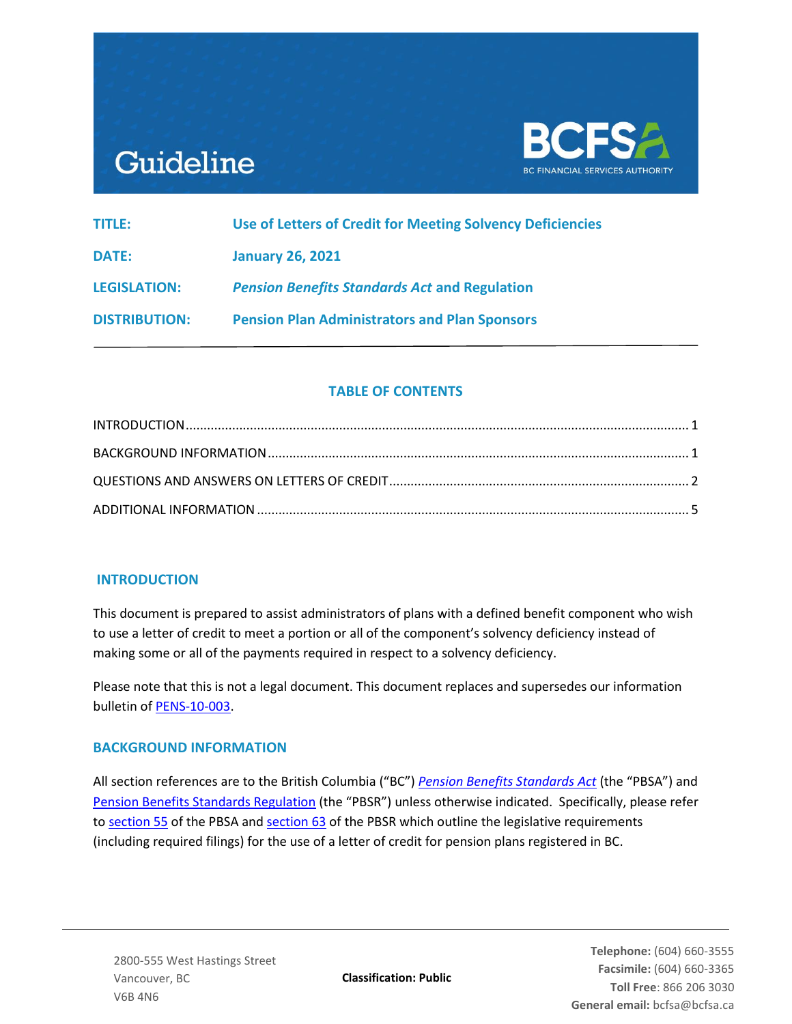# Guideline



| TITLE:               | Use of Letters of Credit for Meeting Solvency Deficiencies |
|----------------------|------------------------------------------------------------|
| DATE:                | <b>January 26, 2021</b>                                    |
| <b>LEGISLATION:</b>  | <b>Pension Benefits Standards Act and Regulation</b>       |
| <b>DISTRIBUTION:</b> | <b>Pension Plan Administrators and Plan Sponsors</b>       |

## **TABLE OF CONTENTS**

## <span id="page-0-0"></span>**INTRODUCTION**

<span id="page-0-1"></span>This document is prepared to assist administrators of plans with a defined benefit component who wish to use a letter of credit to meet a portion or all of the component's solvency deficiency instead of making some or all of the payments required in respect to a solvency deficiency.

Please note that this is not a legal document. This document replaces and supersedes our information bulletin of [PENS-10-003.](https://www.bcfsa.ca/pdf/Pensions/bulletins/PENS-10-003.pdf)

## **BACKGROUND INFORMATION**

<span id="page-0-2"></span>All section references are to the British Columbia ("BC") *[Pension Benefits Standards Act](https://www.bclaws.ca/civix/document/id/complete/statreg/00_12030)* (the "PBSA") and [Pension Benefits Standards Regulation](https://www.bclaws.ca/civix/document/id/complete/statreg/71_2015) (the "PBSR") unless otherwise indicated. Specifically, please refer to [section 55](https://www.bclaws.ca/civix/document/id/complete/statreg/00_12030#section55) of the PBSA and [section 63](https://www.bclaws.ca/civix/document/id/complete/statreg/71_2015#section63) of the PBSR which outline the legislative requirements (including required filings) for the use of a letter of credit for pension plans registered in BC.

**Classification: Public**

**Telephone:** (604) 660-3555 **Facsimile:** (604) 660-3365 **Toll Free**: 866 206 3030 **General email:** bcfsa@bcfsa.ca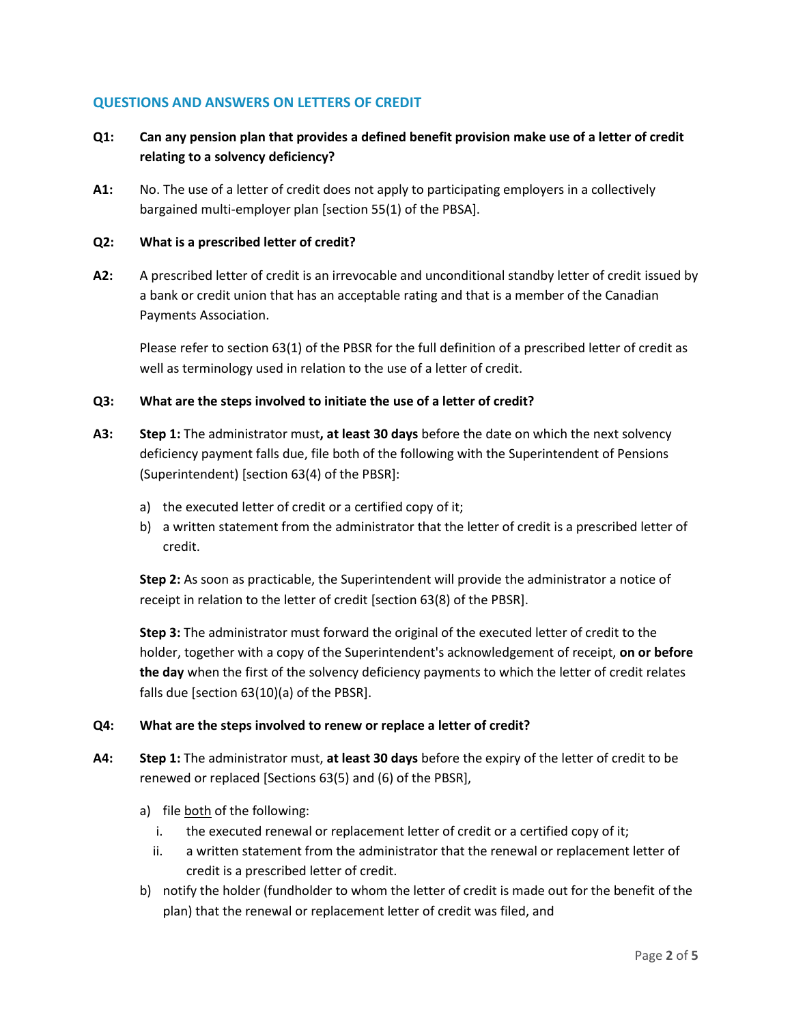## **QUESTIONS AND ANSWERS ON LETTERS OF CREDIT**

# **Q1: Can any pension plan that provides a defined benefit provision make use of a letter of credit relating to a solvency deficiency?**

**A1:** No. The use of a letter of credit does not apply to participating employers in a collectively bargained multi-employer plan [section 55(1) of the PBSA].

#### **Q2: What is a prescribed letter of credit?**

**A2:** A prescribed letter of credit is an irrevocable and unconditional standby letter of credit issued by a bank or credit union that has an acceptable rating and that is a member of the Canadian Payments Association.

Please refer to section 63(1) of the PBSR for the full definition of a prescribed letter of credit as well as terminology used in relation to the use of a letter of credit.

#### **Q3: What are the steps involved to initiate the use of a letter of credit?**

- **A3: Step 1:** The administrator must**, at least 30 days** before the date on which the next solvency deficiency payment falls due, file both of the following with the Superintendent of Pensions (Superintendent) [section 63(4) of the PBSR]:
	- a) the executed letter of credit or a certified copy of it;
	- b) a written statement from the administrator that the letter of credit is a prescribed letter of credit.

**Step 2:** As soon as practicable, the Superintendent will provide the administrator a notice of receipt in relation to the letter of credit [section 63(8) of the PBSR].

**Step 3:** The administrator must forward the original of the executed letter of credit to the holder, together with a copy of the Superintendent's acknowledgement of receipt, **on or before the day** when the first of the solvency deficiency payments to which the letter of credit relates falls due [section 63(10)(a) of the PBSR].

#### **Q4: What are the steps involved to renew or replace a letter of credit?**

- **A4: Step 1:** The administrator must, **at least 30 days** before the expiry of the letter of credit to be renewed or replaced [Sections 63(5) and (6) of the PBSR],
	- a) file both of the following:
		- i. the executed renewal or replacement letter of credit or a certified copy of it;
		- ii. a written statement from the administrator that the renewal or replacement letter of credit is a prescribed letter of credit.
	- b) notify the holder (fundholder to whom the letter of credit is made out for the benefit of the plan) that the renewal or replacement letter of credit was filed, and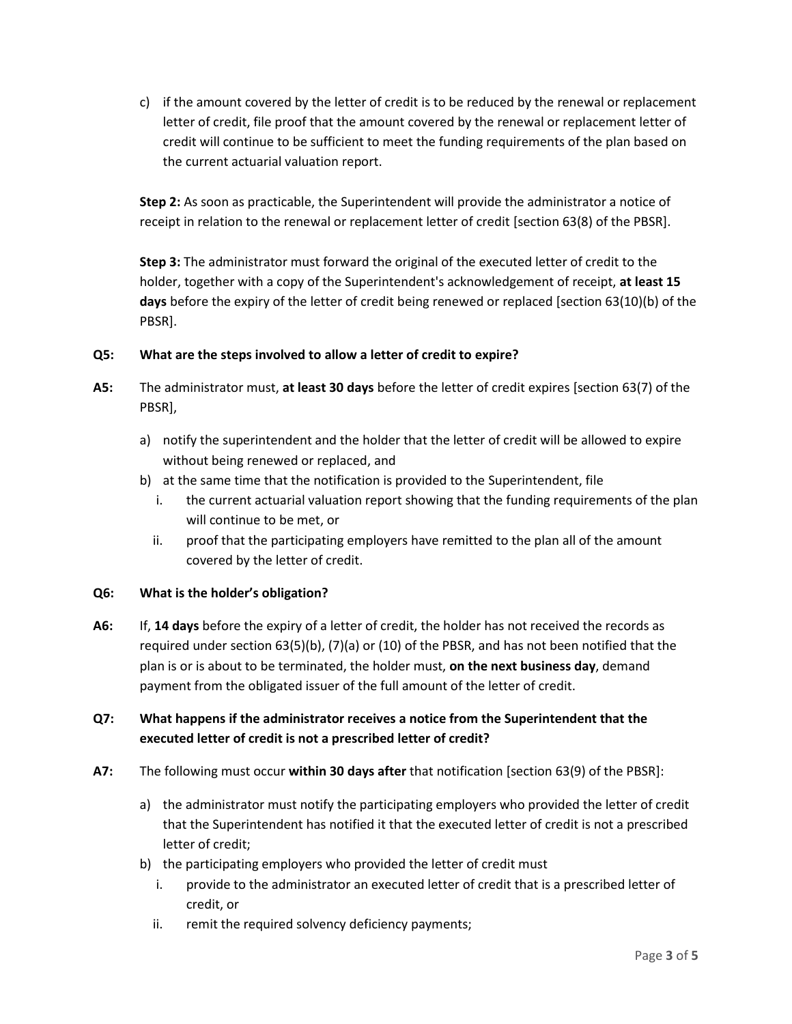c) if the amount covered by the letter of credit is to be reduced by the renewal or replacement letter of credit, file proof that the amount covered by the renewal or replacement letter of credit will continue to be sufficient to meet the funding requirements of the plan based on the current actuarial valuation report.

**Step 2:** As soon as practicable, the Superintendent will provide the administrator a notice of receipt in relation to the renewal or replacement letter of credit [section 63(8) of the PBSR].

**Step 3:** The administrator must forward the original of the executed letter of credit to the holder, together with a copy of the Superintendent's acknowledgement of receipt, **at least 15 days** before the expiry of the letter of credit being renewed or replaced [section 63(10)(b) of the PBSR].

## **Q5: What are the steps involved to allow a letter of credit to expire?**

- **A5:** The administrator must, **at least 30 days** before the letter of credit expires [section 63(7) of the PBSR],
	- a) notify the superintendent and the holder that the letter of credit will be allowed to expire without being renewed or replaced, and
	- b) at the same time that the notification is provided to the Superintendent, file
		- i. the current actuarial valuation report showing that the funding requirements of the plan will continue to be met, or
		- ii. proof that the participating employers have remitted to the plan all of the amount covered by the letter of credit.

## **Q6: What is the holder's obligation?**

**A6:** If, **14 days** before the expiry of a letter of credit, the holder has not received the records as required under section 63(5)(b), (7)(a) or (10) of the PBSR, and has not been notified that the plan is or is about to be terminated, the holder must, **on the next business day**, demand payment from the obligated issuer of the full amount of the letter of credit.

# **Q7: What happens if the administrator receives a notice from the Superintendent that the executed letter of credit is not a prescribed letter of credit?**

- **A7:** The following must occur **within 30 days after** that notification [section 63(9) of the PBSR]:
	- a) the administrator must notify the participating employers who provided the letter of credit that the Superintendent has notified it that the executed letter of credit is not a prescribed letter of credit;
	- b) the participating employers who provided the letter of credit must
		- i. provide to the administrator an executed letter of credit that is a prescribed letter of credit, or
		- ii. remit the required solvency deficiency payments;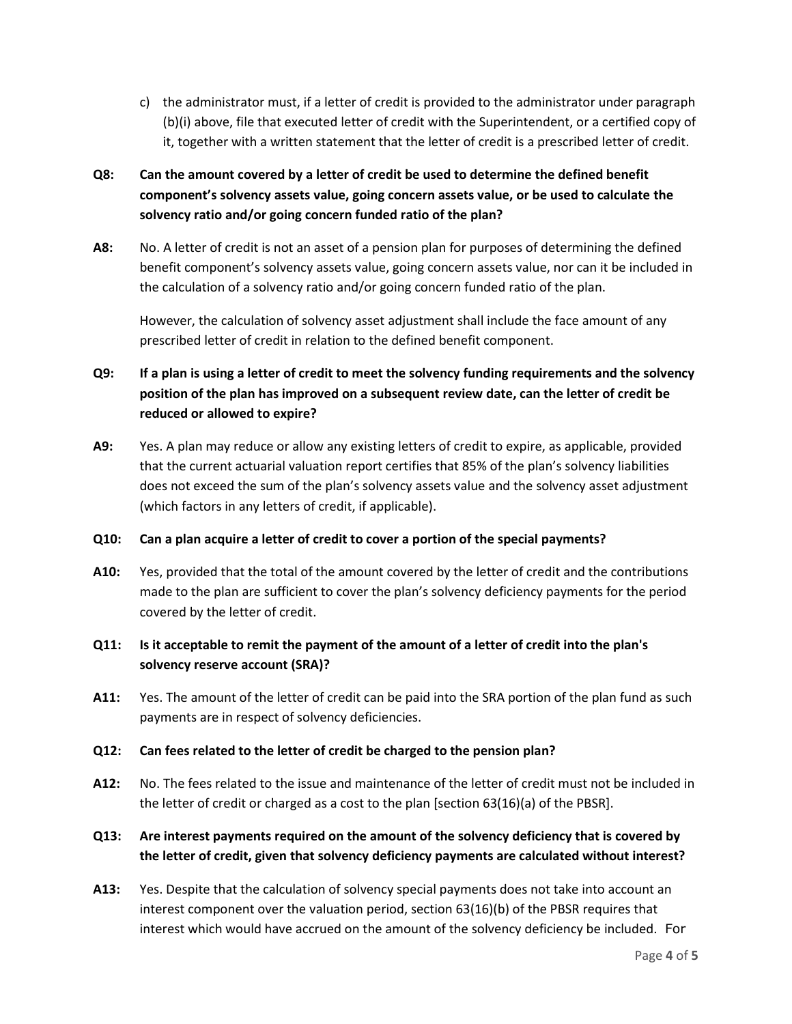c) the administrator must, if a letter of credit is provided to the administrator under paragraph (b)(i) above, file that executed letter of credit with the Superintendent, or a certified copy of it, together with a written statement that the letter of credit is a prescribed letter of credit.

# **Q8: Can the amount covered by a letter of credit be used to determine the defined benefit component's solvency assets value, going concern assets value, or be used to calculate the solvency ratio and/or going concern funded ratio of the plan?**

**A8:** No. A letter of credit is not an asset of a pension plan for purposes of determining the defined benefit component's solvency assets value, going concern assets value, nor can it be included in the calculation of a solvency ratio and/or going concern funded ratio of the plan.

However, the calculation of solvency asset adjustment shall include the face amount of any prescribed letter of credit in relation to the defined benefit component.

# **Q9: If a plan is using a letter of credit to meet the solvency funding requirements and the solvency position of the plan has improved on a subsequent review date, can the letter of credit be reduced or allowed to expire?**

**A9:** Yes. A plan may reduce or allow any existing letters of credit to expire, as applicable, provided that the current actuarial valuation report certifies that 85% of the plan's solvency liabilities does not exceed the sum of the plan's solvency assets value and the solvency asset adjustment (which factors in any letters of credit, if applicable).

## **Q10: Can a plan acquire a letter of credit to cover a portion of the special payments?**

**A10:** Yes, provided that the total of the amount covered by the letter of credit and the contributions made to the plan are sufficient to cover the plan's solvency deficiency payments for the period covered by the letter of credit.

## **Q11: Is it acceptable to remit the payment of the amount of a letter of credit into the plan's solvency reserve account (SRA)?**

**A11:** Yes. The amount of the letter of credit can be paid into the SRA portion of the plan fund as such payments are in respect of solvency deficiencies.

## **Q12: Can fees related to the letter of credit be charged to the pension plan?**

**A12:** No. The fees related to the issue and maintenance of the letter of credit must not be included in the letter of credit or charged as a cost to the plan [section 63(16)(a) of the PBSR].

# **Q13: Are interest payments required on the amount of the solvency deficiency that is covered by the letter of credit, given that solvency deficiency payments are calculated without interest?**

**A13:** Yes. Despite that the calculation of solvency special payments does not take into account an interest component over the valuation period, section 63(16)(b) of the PBSR requires that interest which would have accrued on the amount of the solvency deficiency be included. For